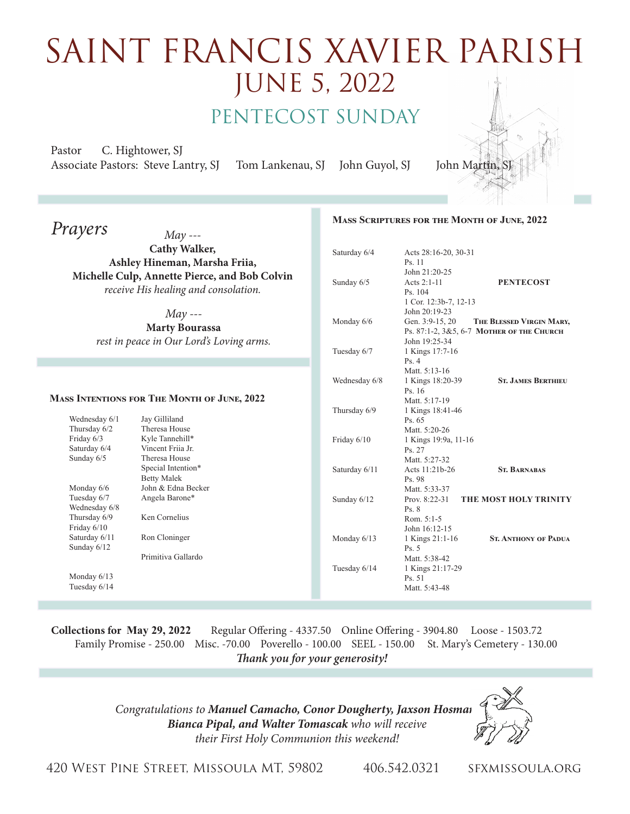## saint FRancis xavier parish June 5, 2022 PENTECOST SUNDAY

Pastor C. Hightower, SJ Associate Pastors: Steve Lantry, SJ Tom Lankenau, SJ John Guyol, SJ John Martin,

## *Prayers May ---* **Cathy Walker, Ashley Hineman, Marsha Friia, Michelle Culp, Annette Pierce, and Bob Colvin** *receive His healing and consolation. May ---*  **Marty Bourassa** *rest in peace in Our Lord's Loving arms.* **Mass Scriptures for the Month of June, 2022** Saturday 6/4 Acts 28:16-20, 30-31 Ps. 11 John 21:20-25 Sunday 6/5 Acts 2:1-11 **PENTECOST**  Ps. 104 1 Cor. 12:3b-7, 12-13 John 20:19-23 Monday 6/6 Gen. 3:9-15, 20 THE BLESSED VIRGIN MARY, Ps. 87:1-2, 3&5, 6-7 **Mother of the Church** John 19:25-34 Tuesday 6/7 1 Kings 17:7-16 Ps. 4 Matt. 5:13-16 Wednesday 6/8 1 Kings 18:20-39 **ST. JAMES BERTHIEU**  Ps. 16 Matt. 5:17-19 Thursday 6/9 1 Kings 18:41-46 Ps. 65 Matt. 5:20-26<br>Friday 6/10 1 Kings 19:9a. 1 Kings 19:9a, 11-16 Ps. 27 Matt. 5:27-32 Saturday 6/11 Acts 11:21b-26 **ST. BARNABAS**  Ps. 98 Matt. 5:33-37 Sunday  $6/12$  Prov. 8:22-31 **THE MOST HOLY TRINITY**  Ps. 8 Rom. 5:1-5 John 16:12-15<br>Monday 6/13 1 Kings 21:1-1 1 Kings 21:1-16 **St. ANTHONY OF PADUA**  Ps. 5 Matt. 5:38-42 Tuesday 6/14 1 Kings 21:17-29 Ps. 51 Matt. 5:43-48 **Mass Intentions for The Month of June, 2022** Wednesday 6/1 Jay Gilliland<br>Thursday 6/2 Theresa Hous Theresa House Friday 6/3 Kyle Tannehill\*<br>Saturday 6/4 Vincent Friia Jr. Vincent Friia Jr. Sunday 6/5 Theresa House Special Intention\* Betty Malek Monday 6/6 John & Edna Becker<br>Tuesday 6/7 Angela Barone\* Angela Barone\* Wednesday 6/8 Thursday 6/9 Ken Cornelius Friday 6/10 Saturday 6/11 Ron Cloninger Sunday 6/12 Primitiva Gallardo Monday 6/13 Tuesday 6/14

**Collections for May 29, 2022** Regular Offering - 4337.50 Online Offering - 3904.80 Loose - 1503.72 Family Promise - 250.00 Misc. -70.00 Poverello - 100.00 SEEL - 150.00 St. Mary's Cemetery - 130.00 *Thank you for your generosity!* 

> *Congratulations to Manuel Camacho, Conor Dougherty, Jaxson Hosman, Bianca Pipal, and Walter Tomascak who will receive their First Holy Communion this weekend!*



420 West Pine Street, Missoula MT, 59802 406.542.0321 sfxmissoula.org